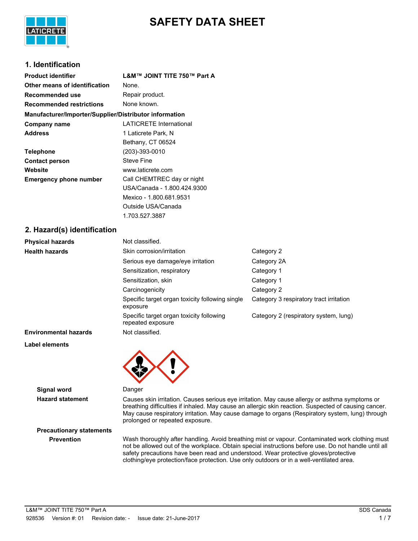

# **SAFETY DATA SHEET**

## **1. Identification**

| <b>Product identifier</b>                              | L&M™ JOINT TITE 750™ Part A    |
|--------------------------------------------------------|--------------------------------|
| Other means of identification                          | None.                          |
| Recommended use                                        | Repair product.                |
| <b>Recommended restrictions</b>                        | None known.                    |
| Manufacturer/Importer/Supplier/Distributor information |                                |
| Company name                                           | <b>LATICRETE International</b> |
| <b>Address</b>                                         | 1 Laticrete Park, N            |
|                                                        | Bethany, CT 06524              |
| <b>Telephone</b>                                       | $(203) - 393 - 0010$           |
| <b>Contact person</b>                                  | <b>Steve Fine</b>              |
| Website                                                | www.laticrete.com              |
| <b>Emergency phone number</b>                          | Call CHEMTREC day or night     |
|                                                        | USA/Canada - 1.800.424.9300    |
|                                                        | Mexico - 1.800.681.9531        |
|                                                        | Outside USA/Canada             |
|                                                        | 1.703.527.3887                 |
| 2. Hazard(s) identification                            |                                |

| <b>Physical hazards</b>      | Not classified.                                               |                                         |
|------------------------------|---------------------------------------------------------------|-----------------------------------------|
| <b>Health hazards</b>        | Skin corrosion/irritation                                     | Category 2                              |
|                              | Serious eye damage/eye irritation                             | Category 2A                             |
|                              | Sensitization, respiratory                                    | Category 1                              |
|                              | Sensitization, skin                                           | Category 1                              |
|                              | Carcinogenicity                                               | Category 2                              |
|                              | Specific target organ toxicity following single<br>exposure   | Category 3 respiratory tract irritation |
|                              | Specific target organ toxicity following<br>repeated exposure | Category 2 (respiratory system, lung)   |
| <b>Environmental hazards</b> | Not classified.                                               |                                         |

#### **Label elements**



**Signal word** Danger

**Hazard statement** Causes skin irritation. Causes serious eye irritation. May cause allergy or asthma symptoms or breathing difficulties if inhaled. May cause an allergic skin reaction. Suspected of causing cancer. May cause respiratory irritation. May cause damage to organs (Respiratory system, lung) through prolonged or repeated exposure.

**Precautionary statements**

**Prevention** Wash thoroughly after handling. Avoid breathing mist or vapour. Contaminated work clothing must not be allowed out of the workplace. Obtain special instructions before use. Do not handle until all safety precautions have been read and understood. Wear protective gloves/protective clothing/eye protection/face protection. Use only outdoors or in a well-ventilated area.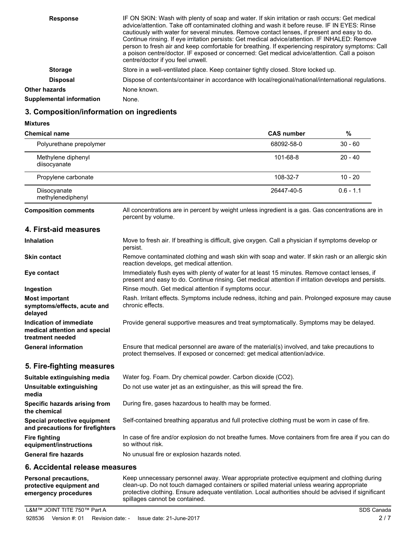| <b>Response</b>                 | IF ON SKIN: Wash with plenty of soap and water. If skin irritation or rash occurs: Get medical<br>advice/attention. Take off contaminated clothing and wash it before reuse. IF IN EYES: Rinse<br>cautiously with water for several minutes. Remove contact lenses, if present and easy to do.<br>Continue rinsing. If eye irritation persists: Get medical advice/attention. IF INHALED: Remove<br>person to fresh air and keep comfortable for breathing. If experiencing respiratory symptoms: Call<br>a poison centre/doctor. IF exposed or concerned: Get medical advice/attention. Call a poison<br>centre/doctor if you feel unwell. |
|---------------------------------|---------------------------------------------------------------------------------------------------------------------------------------------------------------------------------------------------------------------------------------------------------------------------------------------------------------------------------------------------------------------------------------------------------------------------------------------------------------------------------------------------------------------------------------------------------------------------------------------------------------------------------------------|
| <b>Storage</b>                  | Store in a well-ventilated place. Keep container tightly closed. Store locked up.                                                                                                                                                                                                                                                                                                                                                                                                                                                                                                                                                           |
| <b>Disposal</b>                 | Dispose of contents/container in accordance with local/regional/national/international regulations.                                                                                                                                                                                                                                                                                                                                                                                                                                                                                                                                         |
| Other hazards                   | None known.                                                                                                                                                                                                                                                                                                                                                                                                                                                                                                                                                                                                                                 |
| <b>Supplemental information</b> | None.                                                                                                                                                                                                                                                                                                                                                                                                                                                                                                                                                                                                                                       |

## **3. Composition/information on ingredients**

#### **Mixtures**

| <b>Chemical name</b>                                                         |                                                                                                                                                                                                        | <b>CAS number</b> | $\%$        |
|------------------------------------------------------------------------------|--------------------------------------------------------------------------------------------------------------------------------------------------------------------------------------------------------|-------------------|-------------|
| Polyurethane prepolymer                                                      |                                                                                                                                                                                                        | 68092-58-0        | $30 - 60$   |
| Methylene diphenyl<br>diisocyanate                                           |                                                                                                                                                                                                        | 101-68-8          | $20 - 40$   |
| Propylene carbonate                                                          |                                                                                                                                                                                                        | 108-32-7          | $10 - 20$   |
| Diisocyanate<br>methylenediphenyl                                            |                                                                                                                                                                                                        | 26447-40-5        | $0.6 - 1.1$ |
| <b>Composition comments</b>                                                  | All concentrations are in percent by weight unless ingredient is a gas. Gas concentrations are in<br>percent by volume.                                                                                |                   |             |
| 4. First-aid measures                                                        |                                                                                                                                                                                                        |                   |             |
| <b>Inhalation</b>                                                            | Move to fresh air. If breathing is difficult, give oxygen. Call a physician if symptoms develop or<br>persist.                                                                                         |                   |             |
| Skin contact                                                                 | Remove contaminated clothing and wash skin with soap and water. If skin rash or an allergic skin<br>reaction develops, get medical attention.                                                          |                   |             |
| Eye contact                                                                  | Immediately flush eyes with plenty of water for at least 15 minutes. Remove contact lenses, if<br>present and easy to do. Continue rinsing. Get medical attention if irritation develops and persists. |                   |             |
| Ingestion                                                                    | Rinse mouth. Get medical attention if symptoms occur.                                                                                                                                                  |                   |             |
| <b>Most important</b><br>symptoms/effects, acute and<br>delayed              | Rash. Irritant effects. Symptoms include redness, itching and pain. Prolonged exposure may cause<br>chronic effects.                                                                                   |                   |             |
| Indication of immediate<br>medical attention and special<br>treatment needed | Provide general supportive measures and treat symptomatically. Symptoms may be delayed.                                                                                                                |                   |             |
| <b>General information</b>                                                   | Ensure that medical personnel are aware of the material(s) involved, and take precautions to<br>protect themselves. If exposed or concerned: get medical attention/advice.                             |                   |             |
| 5. Fire-fighting measures                                                    |                                                                                                                                                                                                        |                   |             |
| Suitable extinguishing media                                                 | Water fog. Foam. Dry chemical powder. Carbon dioxide (CO2).                                                                                                                                            |                   |             |
| <b>Unsuitable extinguishing</b><br>media                                     | Do not use water jet as an extinguisher, as this will spread the fire.                                                                                                                                 |                   |             |
| Specific hazards arising from<br>the chemical                                | During fire, gases hazardous to health may be formed.                                                                                                                                                  |                   |             |
| Special protective equipment<br>and precautions for firefighters             | Self-contained breathing apparatus and full protective clothing must be worn in case of fire.                                                                                                          |                   |             |
| <b>Fire fighting</b><br>equipment/instructions                               | In case of fire and/or explosion do not breathe fumes. Move containers from fire area if you can do<br>so without risk.                                                                                |                   |             |
| <b>General fire hazards</b>                                                  | No unusual fire or explosion hazards noted.                                                                                                                                                            |                   |             |
| 6 Accidental release measures                                                |                                                                                                                                                                                                        |                   |             |

#### **6. Accidental release measures**

| <b>Personal precautions.</b> | Keep unnecessary personnel away. Wear appropriate protective equipment and clothing during           |  |  |
|------------------------------|------------------------------------------------------------------------------------------------------|--|--|
| protective equipment and     | clean-up. Do not touch damaged containers or spilled material unless wearing appropriate             |  |  |
| emergency procedures         | protective clothing. Ensure adequate ventilation. Local authorities should be advised if significant |  |  |
|                              | spillages cannot be contained.                                                                       |  |  |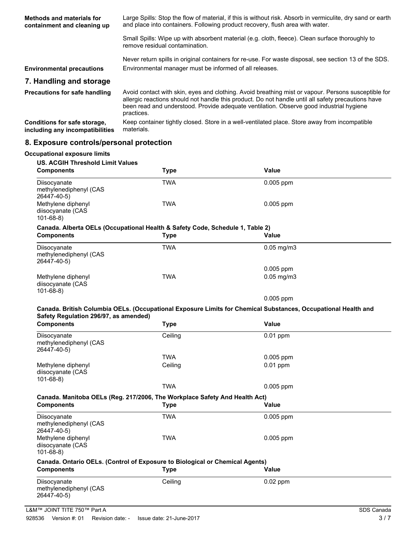| Methods and materials for<br>containment and cleaning up        | Large Spills: Stop the flow of material, if this is without risk. Absorb in vermiculite, dry sand or earth<br>and place into containers. Following product recovery, flush area with water.                                                                                                                        |  |  |
|-----------------------------------------------------------------|--------------------------------------------------------------------------------------------------------------------------------------------------------------------------------------------------------------------------------------------------------------------------------------------------------------------|--|--|
|                                                                 | Small Spills: Wipe up with absorbent material (e.g. cloth, fleece). Clean surface thoroughly to<br>remove residual contamination.                                                                                                                                                                                  |  |  |
| <b>Environmental precautions</b>                                | Never return spills in original containers for re-use. For waste disposal, see section 13 of the SDS.<br>Environmental manager must be informed of all releases.                                                                                                                                                   |  |  |
| 7. Handling and storage                                         |                                                                                                                                                                                                                                                                                                                    |  |  |
| <b>Precautions for safe handling</b>                            | Avoid contact with skin, eyes and clothing. Avoid breathing mist or vapour. Persons susceptible for<br>allergic reactions should not handle this product. Do not handle until all safety precautions have<br>been read and understood. Provide adequate ventilation. Observe good industrial hygiene<br>practices. |  |  |
| Conditions for safe storage,<br>including any incompatibilities | Keep container tightly closed. Store in a well-ventilated place. Store away from incompatible<br>materials.                                                                                                                                                                                                        |  |  |
|                                                                 |                                                                                                                                                                                                                                                                                                                    |  |  |

## **8. Exposure controls/personal protection**

| <b>Occupational exposure limits</b>                                                                |             |                 |
|----------------------------------------------------------------------------------------------------|-------------|-----------------|
| <b>US. ACGIH Threshold Limit Values</b><br><b>Components</b>                                       | <b>Type</b> | Value           |
| Diisocyanate<br>methylenediphenyl (CAS<br>26447-40-5)                                              | TWA         | $0.005$ ppm     |
| Methylene diphenyl<br>diisocyanate (CAS<br>$101 - 68 - 8$                                          | TWA         | $0.005$ ppm     |
| Canada. Alberta OELs (Occupational Health & Safety Code, Schedule 1, Table 2)<br><b>Components</b> | <b>Type</b> | <b>Value</b>    |
| Diisocyanate<br>methylenediphenyl (CAS<br>26447-40-5)                                              | <b>TWA</b>  | $0.05$ mg/m $3$ |
|                                                                                                    |             | 0.005 ppm       |
| Methylene diphenyl<br>diisocyanate (CAS<br>$101 - 68 - 8$                                          | <b>TWA</b>  | $0.05$ mg/m $3$ |
|                                                                                                    |             | $0.005$ ppm     |
| Safety Regulation 296/97, as amended)<br><b>Components</b>                                         | <b>Type</b> | Value           |
| Diisocyanate<br>methylenediphenyl (CAS                                                             | Ceiling     | $0.01$ ppm      |
| 26447-40-5)                                                                                        |             |                 |
|                                                                                                    | <b>TWA</b>  | $0.005$ ppm     |
| Methylene diphenyl<br>diisocyanate (CAS<br>$101 - 68 - 8$                                          | Ceiling     | $0.01$ ppm      |
|                                                                                                    | <b>TWA</b>  | $0.005$ ppm     |
| Canada. Manitoba OELs (Reg. 217/2006, The Workplace Safety And Health Act)                         |             |                 |
| <b>Components</b>                                                                                  | <b>Type</b> | Value           |
| Diisocyanate<br>methylenediphenyl (CAS<br>26447-40-5)                                              | <b>TWA</b>  | 0.005 ppm       |
| Methylene diphenyl<br>diisocyanate (CAS<br>$101 - 68 - 8$                                          | <b>TWA</b>  | $0.005$ ppm     |
| Canada. Ontario OELs. (Control of Exposure to Biological or Chemical Agents)                       |             |                 |
| <b>Components</b>                                                                                  | <b>Type</b> | Value           |
| Diisocyanate<br>methylenediphenyl (CAS<br>26447-40-5)                                              | Ceiling     | $0.02$ ppm      |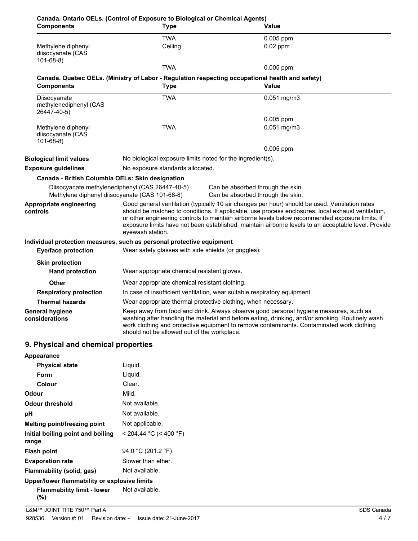| <b>Components</b>                                                                                 | <b>Type</b>                                                                                                                                                                                                                                                                                                                                                                                                                        | Value                                                                                                                                                                                                                                                                                 |  |
|---------------------------------------------------------------------------------------------------|------------------------------------------------------------------------------------------------------------------------------------------------------------------------------------------------------------------------------------------------------------------------------------------------------------------------------------------------------------------------------------------------------------------------------------|---------------------------------------------------------------------------------------------------------------------------------------------------------------------------------------------------------------------------------------------------------------------------------------|--|
|                                                                                                   | <b>TWA</b>                                                                                                                                                                                                                                                                                                                                                                                                                         | 0.005 ppm                                                                                                                                                                                                                                                                             |  |
| Methylene diphenyl<br>diisocyanate (CAS<br>$101 - 68 - 8$                                         | Ceiling                                                                                                                                                                                                                                                                                                                                                                                                                            | $0.02$ ppm                                                                                                                                                                                                                                                                            |  |
|                                                                                                   | <b>TWA</b>                                                                                                                                                                                                                                                                                                                                                                                                                         | $0.005$ ppm                                                                                                                                                                                                                                                                           |  |
| <b>Components</b>                                                                                 | Canada. Quebec OELs. (Ministry of Labor - Regulation respecting occupational health and safety)<br><b>Type</b>                                                                                                                                                                                                                                                                                                                     | Value                                                                                                                                                                                                                                                                                 |  |
| Diisocyanate<br>methylenediphenyl (CAS<br>26447-40-5)                                             | <b>TWA</b>                                                                                                                                                                                                                                                                                                                                                                                                                         | $0.051$ mg/m3                                                                                                                                                                                                                                                                         |  |
|                                                                                                   |                                                                                                                                                                                                                                                                                                                                                                                                                                    | $0.005$ ppm                                                                                                                                                                                                                                                                           |  |
| Methylene diphenyl<br>diisocyanate (CAS<br>$101 - 68 - 8$                                         | <b>TWA</b>                                                                                                                                                                                                                                                                                                                                                                                                                         | $0.051$ mg/m3                                                                                                                                                                                                                                                                         |  |
|                                                                                                   |                                                                                                                                                                                                                                                                                                                                                                                                                                    | 0.005 ppm                                                                                                                                                                                                                                                                             |  |
| <b>Biological limit values</b>                                                                    | No biological exposure limits noted for the ingredient(s).                                                                                                                                                                                                                                                                                                                                                                         |                                                                                                                                                                                                                                                                                       |  |
| <b>Exposure guidelines</b>                                                                        | No exposure standards allocated.                                                                                                                                                                                                                                                                                                                                                                                                   |                                                                                                                                                                                                                                                                                       |  |
| Canada - British Columbia OELs: Skin designation                                                  |                                                                                                                                                                                                                                                                                                                                                                                                                                    |                                                                                                                                                                                                                                                                                       |  |
| Diisocyanate methylenediphenyl (CAS 26447-40-5)<br>Methylene diphenyl diisocyanate (CAS 101-68-8) |                                                                                                                                                                                                                                                                                                                                                                                                                                    | Can be absorbed through the skin.<br>Can be absorbed through the skin.                                                                                                                                                                                                                |  |
| Appropriate engineering<br>controls                                                               | Good general ventilation (typically 10 air changes per hour) should be used. Ventilation rates<br>should be matched to conditions. If applicable, use process enclosures, local exhaust ventilation,<br>or other engineering controls to maintain airborne levels below recommended exposure limits. If<br>exposure limits have not been established, maintain airborne levels to an acceptable level. Provide<br>eyewash station. |                                                                                                                                                                                                                                                                                       |  |
|                                                                                                   | Individual protection measures, such as personal protective equipment                                                                                                                                                                                                                                                                                                                                                              |                                                                                                                                                                                                                                                                                       |  |
| <b>Eye/face protection</b>                                                                        | Wear safety glasses with side shields (or goggles).                                                                                                                                                                                                                                                                                                                                                                                |                                                                                                                                                                                                                                                                                       |  |
| <b>Skin protection</b>                                                                            |                                                                                                                                                                                                                                                                                                                                                                                                                                    |                                                                                                                                                                                                                                                                                       |  |
| <b>Hand protection</b>                                                                            | Wear appropriate chemical resistant gloves.                                                                                                                                                                                                                                                                                                                                                                                        |                                                                                                                                                                                                                                                                                       |  |
| <b>Other</b>                                                                                      | Wear appropriate chemical resistant clothing.                                                                                                                                                                                                                                                                                                                                                                                      |                                                                                                                                                                                                                                                                                       |  |
| <b>Respiratory protection</b>                                                                     | In case of insufficient ventilation, wear suitable respiratory equipment.                                                                                                                                                                                                                                                                                                                                                          |                                                                                                                                                                                                                                                                                       |  |
| <b>Thermal hazards</b>                                                                            | Wear appropriate thermal protective clothing, when necessary.                                                                                                                                                                                                                                                                                                                                                                      |                                                                                                                                                                                                                                                                                       |  |
| <b>General hygiene</b><br>considerations                                                          | should not be allowed out of the workplace.                                                                                                                                                                                                                                                                                                                                                                                        | Keep away from food and drink. Always observe good personal hygiene measures, such as<br>washing after handling the material and before eating, drinking, and/or smoking. Routinely wash<br>work clothing and protective equipment to remove contaminants. Contaminated work clothing |  |

## **9. Physical and chemical properties**

| Appearance                                   |                          |
|----------------------------------------------|--------------------------|
| <b>Physical state</b>                        | Liquid.                  |
| Form                                         | Liquid.                  |
| Colour                                       | Clear.                   |
| Odour                                        | Mild.                    |
| Odour threshold                              | Not available.           |
| рH                                           | Not available.           |
| Melting point/freezing point                 | Not applicable.          |
| Initial boiling point and boiling<br>range   | $<$ 204.44 °C (< 400 °F) |
| Flash point                                  | 94.0 °C (201.2 °F)       |
| <b>Evaporation rate</b>                      | Slower than ether.       |
| Flammability (solid, gas)                    | Not available.           |
| Upper/lower flammability or explosive limits |                          |
| Flammability limit - lower<br>(%)            | Not available.           |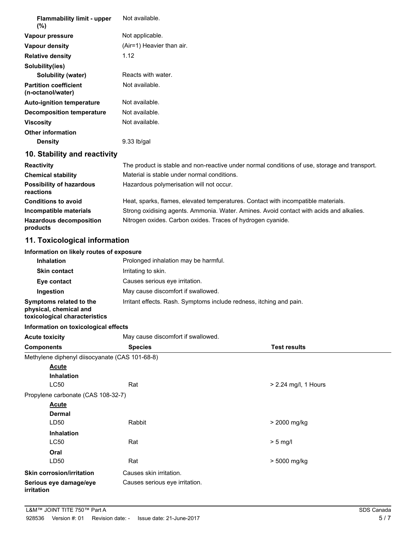| <b>Flammability limit - upper</b><br>(%)                                           | Not available.                                                                                |                      |  |
|------------------------------------------------------------------------------------|-----------------------------------------------------------------------------------------------|----------------------|--|
| Vapour pressure                                                                    | Not applicable.                                                                               |                      |  |
| Vapour density                                                                     | (Air=1) Heavier than air.                                                                     |                      |  |
| <b>Relative density</b>                                                            | 1.12                                                                                          |                      |  |
| Solubility(ies)                                                                    |                                                                                               |                      |  |
| <b>Solubility (water)</b>                                                          | Reacts with water.                                                                            |                      |  |
| <b>Partition coefficient</b><br>(n-octanol/water)                                  | Not available.                                                                                |                      |  |
| <b>Auto-ignition temperature</b>                                                   | Not available.                                                                                |                      |  |
| <b>Decomposition temperature</b>                                                   | Not available.                                                                                |                      |  |
| <b>Viscosity</b>                                                                   | Not available.                                                                                |                      |  |
| <b>Other information</b>                                                           |                                                                                               |                      |  |
| <b>Density</b>                                                                     | 9.33 lb/gal                                                                                   |                      |  |
| 10. Stability and reactivity                                                       |                                                                                               |                      |  |
| <b>Reactivity</b>                                                                  | The product is stable and non-reactive under normal conditions of use, storage and transport. |                      |  |
| <b>Chemical stability</b>                                                          | Material is stable under normal conditions.                                                   |                      |  |
| <b>Possibility of hazardous</b><br>reactions                                       | Hazardous polymerisation will not occur.                                                      |                      |  |
| <b>Conditions to avoid</b>                                                         | Heat, sparks, flames, elevated temperatures. Contact with incompatible materials.             |                      |  |
| Incompatible materials                                                             | Strong oxidising agents. Ammonia. Water. Amines. Avoid contact with acids and alkalies.       |                      |  |
| <b>Hazardous decomposition</b><br>products                                         | Nitrogen oxides. Carbon oxides. Traces of hydrogen cyanide.                                   |                      |  |
| 11. Toxicological information                                                      |                                                                                               |                      |  |
| Information on likely routes of exposure                                           |                                                                                               |                      |  |
| Inhalation                                                                         | Prolonged inhalation may be harmful.                                                          |                      |  |
| <b>Skin contact</b>                                                                | Irritating to skin.                                                                           |                      |  |
| Eye contact                                                                        | Causes serious eye irritation.                                                                |                      |  |
| Ingestion                                                                          | May cause discomfort if swallowed.                                                            |                      |  |
| Symptoms related to the<br>physical, chemical and<br>toxicological characteristics | Irritant effects. Rash. Symptoms include redness, itching and pain.                           |                      |  |
| Information on toxicological effects                                               |                                                                                               |                      |  |
| <b>Acute toxicity</b>                                                              | May cause discomfort if swallowed.                                                            |                      |  |
| <b>Components</b>                                                                  | <b>Species</b>                                                                                | <b>Test results</b>  |  |
| Methylene diphenyl diisocyanate (CAS 101-68-8)                                     |                                                                                               |                      |  |
| <b>Acute</b>                                                                       |                                                                                               |                      |  |
| Inhalation                                                                         |                                                                                               |                      |  |
| <b>LC50</b>                                                                        | Rat                                                                                           | > 2.24 mg/l, 1 Hours |  |
| Propylene carbonate (CAS 108-32-7)                                                 |                                                                                               |                      |  |
| <b>Acute</b>                                                                       |                                                                                               |                      |  |
| <b>Dermal</b><br>LD50                                                              | Rabbit                                                                                        |                      |  |
|                                                                                    |                                                                                               | > 2000 mg/kg         |  |
| <b>Inhalation</b><br><b>LC50</b>                                                   | Rat                                                                                           | $> 5$ mg/l           |  |
|                                                                                    |                                                                                               |                      |  |
| Oral<br>LD50                                                                       | Rat                                                                                           | > 5000 mg/kg         |  |
|                                                                                    |                                                                                               |                      |  |
| Skin corrosion/irritation                                                          | Causes skin irritation.                                                                       |                      |  |

Serious eye damage/eye **Causes serious eye irritation**. **irritation**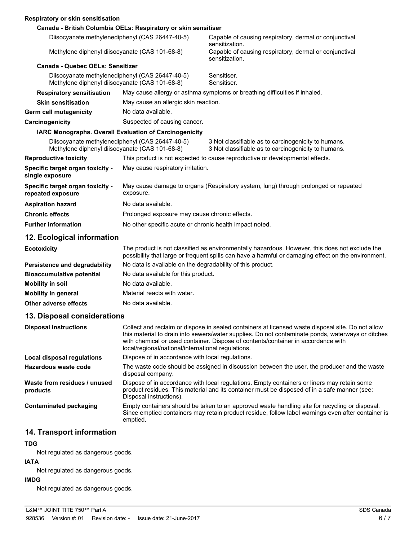|  |  | Respiratory or skin sensitisation |
|--|--|-----------------------------------|
|  |  |                                   |

| Respiratory or skill selisitisation                                                               |                                                                                                                                                                                                       |                                                                                                            |  |
|---------------------------------------------------------------------------------------------------|-------------------------------------------------------------------------------------------------------------------------------------------------------------------------------------------------------|------------------------------------------------------------------------------------------------------------|--|
|                                                                                                   | Canada - British Columbia OELs: Respiratory or skin sensitiser                                                                                                                                        |                                                                                                            |  |
| Diisocyanate methylenediphenyl (CAS 26447-40-5)                                                   |                                                                                                                                                                                                       | Capable of causing respiratory, dermal or conjunctival<br>sensitization.                                   |  |
| Methylene diphenyl diisocyanate (CAS 101-68-8)                                                    |                                                                                                                                                                                                       | Capable of causing respiratory, dermal or conjunctival<br>sensitization.                                   |  |
| <b>Canada - Quebec OELs: Sensitizer</b>                                                           |                                                                                                                                                                                                       |                                                                                                            |  |
| Diisocyanate methylenediphenyl (CAS 26447-40-5)<br>Methylene diphenyl diisocyanate (CAS 101-68-8) |                                                                                                                                                                                                       | Sensitiser.<br>Sensitiser.                                                                                 |  |
| <b>Respiratory sensitisation</b>                                                                  |                                                                                                                                                                                                       | May cause allergy or asthma symptoms or breathing difficulties if inhaled.                                 |  |
| <b>Skin sensitisation</b>                                                                         | May cause an allergic skin reaction.                                                                                                                                                                  |                                                                                                            |  |
| <b>Germ cell mutagenicity</b>                                                                     | No data available.                                                                                                                                                                                    |                                                                                                            |  |
| Carcinogenicity                                                                                   | Suspected of causing cancer.                                                                                                                                                                          |                                                                                                            |  |
|                                                                                                   | <b>IARC Monographs. Overall Evaluation of Carcinogenicity</b>                                                                                                                                         |                                                                                                            |  |
| Diisocyanate methylenediphenyl (CAS 26447-40-5)<br>Methylene diphenyl diisocyanate (CAS 101-68-8) |                                                                                                                                                                                                       | 3 Not classifiable as to carcinogenicity to humans.<br>3 Not classifiable as to carcinogenicity to humans. |  |
| <b>Reproductive toxicity</b>                                                                      | This product is not expected to cause reproductive or developmental effects.                                                                                                                          |                                                                                                            |  |
| Specific target organ toxicity -<br>single exposure                                               | May cause respiratory irritation.                                                                                                                                                                     |                                                                                                            |  |
| Specific target organ toxicity -<br>repeated exposure                                             | May cause damage to organs (Respiratory system, lung) through prolonged or repeated<br>exposure.                                                                                                      |                                                                                                            |  |
| <b>Aspiration hazard</b>                                                                          | No data available.                                                                                                                                                                                    |                                                                                                            |  |
| <b>Chronic effects</b>                                                                            | Prolonged exposure may cause chronic effects.                                                                                                                                                         |                                                                                                            |  |
| <b>Further information</b>                                                                        | No other specific acute or chronic health impact noted.                                                                                                                                               |                                                                                                            |  |
| 12. Ecological information                                                                        |                                                                                                                                                                                                       |                                                                                                            |  |
| <b>Ecotoxicity</b>                                                                                | The product is not classified as environmentally hazardous. However, this does not exclude the<br>possibility that large or frequent spills can have a harmful or damaging effect on the environment. |                                                                                                            |  |

|                                  | possibility that large or frequent spills can have a harmful or damaging effect on the environment. |
|----------------------------------|-----------------------------------------------------------------------------------------------------|
| Persistence and degradability    | No data is available on the degradability of this product.                                          |
| <b>Bioaccumulative potential</b> | No data available for this product.                                                                 |
| Mobility in soil                 | No data available.                                                                                  |
| Mobility in general              | Material reacts with water.                                                                         |
| Other adverse effects            | No data available.                                                                                  |

## **13. Disposal considerations**

| <b>Disposal instructions</b>             | Collect and reclaim or dispose in sealed containers at licensed waste disposal site. Do not allow<br>this material to drain into sewers/water supplies. Do not contaminate ponds, waterways or ditches<br>with chemical or used container. Dispose of contents/container in accordance with<br>local/regional/national/international regulations. |
|------------------------------------------|---------------------------------------------------------------------------------------------------------------------------------------------------------------------------------------------------------------------------------------------------------------------------------------------------------------------------------------------------|
| Local disposal regulations               | Dispose of in accordance with local regulations.                                                                                                                                                                                                                                                                                                  |
| Hazardous waste code                     | The waste code should be assigned in discussion between the user, the producer and the waste<br>disposal company.                                                                                                                                                                                                                                 |
| Waste from residues / unused<br>products | Dispose of in accordance with local regulations. Empty containers or liners may retain some<br>product residues. This material and its container must be disposed of in a safe manner (see:<br>Disposal instructions).                                                                                                                            |
| Contaminated packaging                   | Empty containers should be taken to an approved waste handling site for recycling or disposal.<br>Since emptied containers may retain product residue, follow label warnings even after container is<br>emptied.                                                                                                                                  |

## **14. Transport information**

## **TDG**

Not regulated as dangerous goods.

## **IATA**

Not regulated as dangerous goods.

## **IMDG**

Not regulated as dangerous goods.